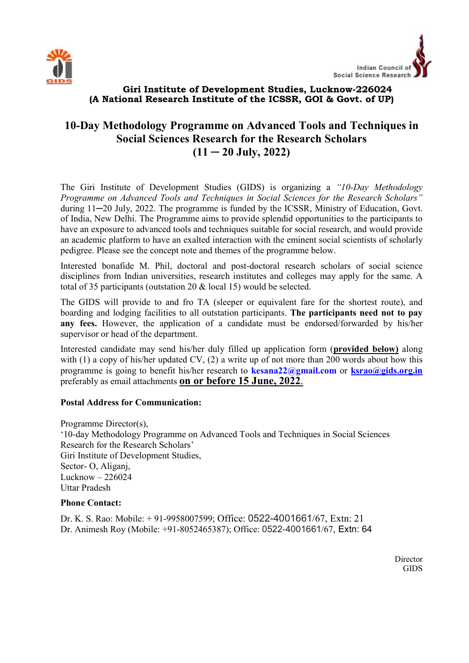



# Giri Institute of Development Studies, Lucknow-226024 (A National Research Institute of the ICSSR, GOI & Govt. of UP)

# 10-Day Methodology Programme on Advanced Tools and Techniques in Social Sciences Research for the Research Scholars  $(11 - 20$  July, 2022)

The Giri Institute of Development Studies (GIDS) is organizing a "10-Day Methodology Programme on Advanced Tools and Techniques in Social Sciences for the Research Scholars" during 11─20 July, 2022. The programme is funded by the ICSSR, Ministry of Education, Govt. of India, New Delhi. The Programme aims to provide splendid opportunities to the participants to have an exposure to advanced tools and techniques suitable for social research, and would provide an academic platform to have an exalted interaction with the eminent social scientists of scholarly pedigree. Please see the concept note and themes of the programme below.

Interested bonafide M. Phil, doctoral and post-doctoral research scholars of social science disciplines from Indian universities, research institutes and colleges may apply for the same. A total of 35 participants (outstation 20 & local 15) would be selected.

The GIDS will provide to and fro TA (sleeper or equivalent fare for the shortest route), and boarding and lodging facilities to all outstation participants. The participants need not to pay any fees. However, the application of a candidate must be endorsed/forwarded by his/her supervisor or head of the department.

Interested candidate may send his/her duly filled up application form (provided below) along with  $(1)$  a copy of his/her updated CV,  $(2)$  a write up of not more than 200 words about how this programme is going to benefit his/her research to kesana22@gmail.com or ksrao@gids.org.in preferably as email attachments on or before 15 June, 2022.

## Postal Address for Communication:

Programme Director(s), '10-day Methodology Programme on Advanced Tools and Techniques in Social Sciences Research for the Research Scholars' Giri Institute of Development Studies, Sector- O, Aliganj, Lucknow – 226024 Uttar Pradesh

## Phone Contact:

Dr. K. S. Rao: Mobile: + 91-9958007599; Office: 0522-4001661/67, Extn: 21 Dr. Animesh Roy (Mobile: +91-8052465387); Office: 0522-4001661/67, Extn: 64

> Director GIDS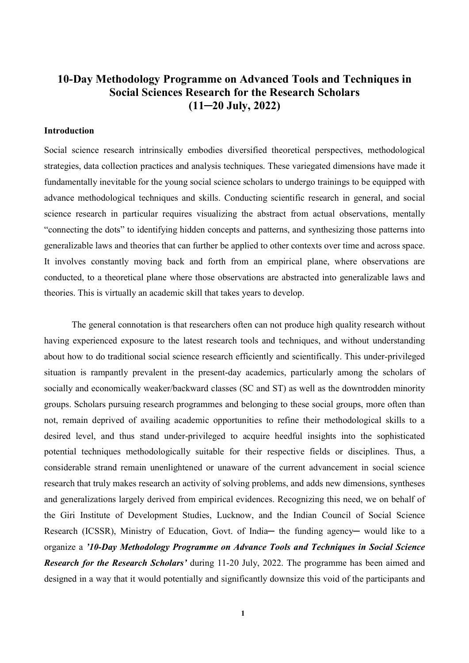# 10-Day Methodology Programme on Advanced Tools and Techniques in Social Sciences Research for the Research Scholars  $(11-20$  July,  $2022)$

#### Introduction

Social science research intrinsically embodies diversified theoretical perspectives, methodological strategies, data collection practices and analysis techniques. These variegated dimensions have made it fundamentally inevitable for the young social science scholars to undergo trainings to be equipped with advance methodological techniques and skills. Conducting scientific research in general, and social science research in particular requires visualizing the abstract from actual observations, mentally "connecting the dots" to identifying hidden concepts and patterns, and synthesizing those patterns into generalizable laws and theories that can further be applied to other contexts over time and across space. It involves constantly moving back and forth from an empirical plane, where observations are conducted, to a theoretical plane where those observations are abstracted into generalizable laws and theories. This is virtually an academic skill that takes years to develop.

The general connotation is that researchers often can not produce high quality research without having experienced exposure to the latest research tools and techniques, and without understanding about how to do traditional social science research efficiently and scientifically. This under-privileged situation is rampantly prevalent in the present-day academics, particularly among the scholars of socially and economically weaker/backward classes (SC and ST) as well as the downtrodden minority groups. Scholars pursuing research programmes and belonging to these social groups, more often than not, remain deprived of availing academic opportunities to refine their methodological skills to a desired level, and thus stand under-privileged to acquire heedful insights into the sophisticated potential techniques methodologically suitable for their respective fields or disciplines. Thus, a considerable strand remain unenlightened or unaware of the current advancement in social science research that truly makes research an activity of solving problems, and adds new dimensions, syntheses and generalizations largely derived from empirical evidences. Recognizing this need, we on behalf of the Giri Institute of Development Studies, Lucknow, and the Indian Council of Social Science Research (ICSSR), Ministry of Education, Govt. of India— the funding agency— would like to a organize a '10-Day Methodology Programme on Advance Tools and Techniques in Social Science **Research for the Research Scholars' during 11-20 July, 2022. The programme has been aimed and** designed in a way that it would potentially and significantly downsize this void of the participants and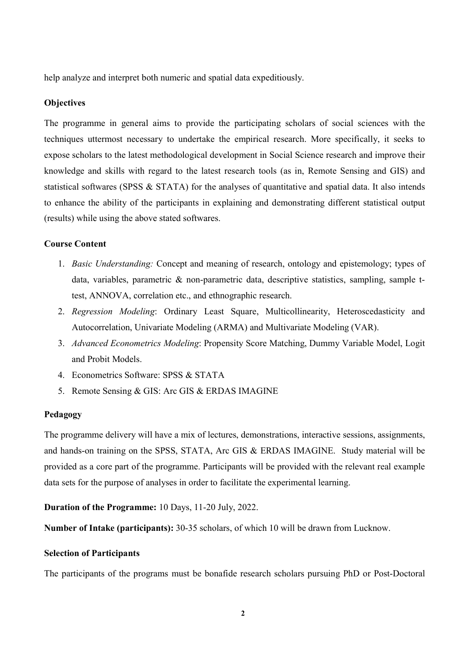help analyze and interpret both numeric and spatial data expeditiously.

#### **Objectives**

The programme in general aims to provide the participating scholars of social sciences with the techniques uttermost necessary to undertake the empirical research. More specifically, it seeks to expose scholars to the latest methodological development in Social Science research and improve their knowledge and skills with regard to the latest research tools (as in, Remote Sensing and GIS) and statistical softwares (SPSS & STATA) for the analyses of quantitative and spatial data. It also intends to enhance the ability of the participants in explaining and demonstrating different statistical output (results) while using the above stated softwares.

#### Course Content

- 1. Basic Understanding: Concept and meaning of research, ontology and epistemology; types of data, variables, parametric & non-parametric data, descriptive statistics, sampling, sample ttest, ANNOVA, correlation etc., and ethnographic research.
- 2. Regression Modeling: Ordinary Least Square, Multicollinearity, Heteroscedasticity and Autocorrelation, Univariate Modeling (ARMA) and Multivariate Modeling (VAR).
- 3. Advanced Econometrics Modeling: Propensity Score Matching, Dummy Variable Model, Logit and Probit Models.
- 4. Econometrics Software: SPSS & STATA
- 5. Remote Sensing & GIS: Arc GIS & ERDAS IMAGINE

#### Pedagogy

The programme delivery will have a mix of lectures, demonstrations, interactive sessions, assignments, and hands-on training on the SPSS, STATA, Arc GIS & ERDAS IMAGINE. Study material will be provided as a core part of the programme. Participants will be provided with the relevant real example data sets for the purpose of analyses in order to facilitate the experimental learning.

#### Duration of the Programme: 10 Days, 11-20 July, 2022.

Number of Intake (participants): 30-35 scholars, of which 10 will be drawn from Lucknow.

#### Selection of Participants

The participants of the programs must be bonafide research scholars pursuing PhD or Post-Doctoral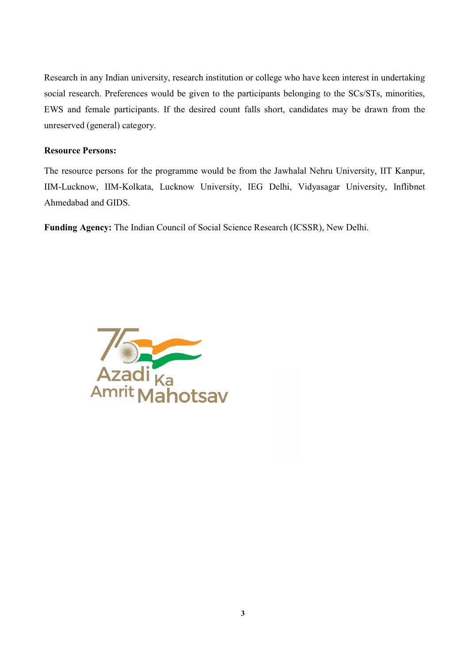Research in any Indian university, research institution or college who have keen interest in undertaking social research. Preferences would be given to the participants belonging to the SCs/STs, minorities, EWS and female participants. If the desired count falls short, candidates may be drawn from the unreserved (general) category.

## Resource Persons:

The resource persons for the programme would be from the Jawhalal Nehru University, IIT Kanpur, IIM-Lucknow, IIM-Kolkata, Lucknow University, IEG Delhi, Vidyasagar University, Inflibnet Ahmedabad and GIDS.

Funding Agency: The Indian Council of Social Science Research (ICSSR), New Delhi.

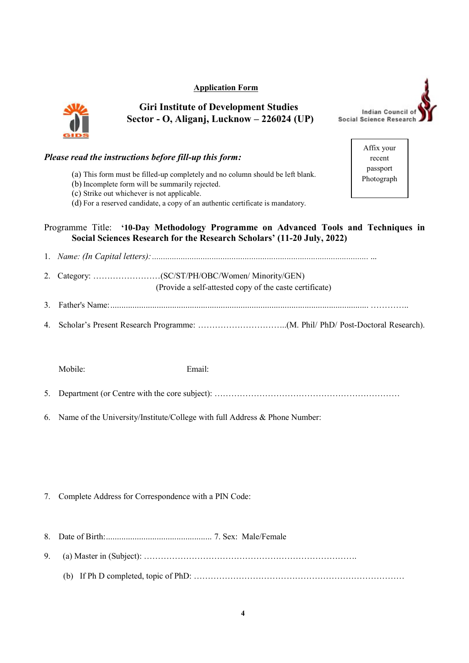### Application Form



# Giri Institute of Development Studies Sector - O, Aliganj, Lucknow – 226024 (UP)



Affix your recent passport Photograph

## Please read the instructions before fill-up this form:

- (a) This form must be filled-up completely and no column should be left blank.
- (b) Incomplete form will be summarily rejected.
- (c) Strike out whichever is not applicable.
- (d) For a reserved candidate, a copy of an authentic certificate is mandatory.

# Programme Title: '10-Day Methodology Programme on Advanced Tools and Techniques in Social Sciences Research for the Research Scholars' (11-20 July, 2022)

- 1. Name: (In Capital letters): .................................................................................................. ...
- 2. Category: ……………………(SC/ST/PH/OBC/Women/ Minority/GEN) (Provide a self-attested copy of the caste certificate)
- 3. Father's Name: ..................................................................................................................... …………..
- 4. Scholar's Present Research Programme: …………………………..(M. Phil/ PhD/ Post-Doctoral Research).

Mobile: Email:

- 5. Department (or Centre with the core subject): …………………………………………………………
- 6. Name of the University/Institute/College with full Address & Phone Number:

- 7. Complete Address for Correspondence with a PIN Code:
- 8. Date of Birth: ................................................ 7. Sex: Male/Female
- 9. (a) Master in (Subject): ………………………………………………………………….
	- (b) If Ph D completed, topic of PhD: …………………………………………………………………